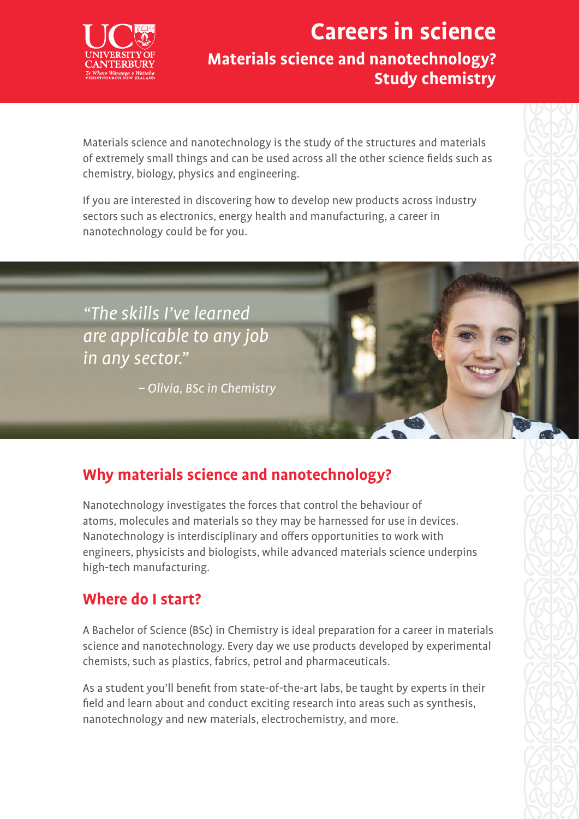

## **Careers in science Materials science and nanotechnology? Study chemistry**

Materials science and nanotechnology is the study of the structures and materials of extremely small things and can be used across all the other science fields such as chemistry, biology, physics and engineering.

If you are interested in discovering how to develop new products across industry sectors such as electronics, energy health and manufacturing, a career in nanotechnology could be for you.



– Olivia, BSc in Chemistry

### **Why materials science and nanotechnology?**

Nanotechnology investigates the forces that control the behaviour of atoms, molecules and materials so they may be harnessed for use in devices. Nanotechnology is interdisciplinary and offers opportunities to work with engineers, physicists and biologists, while advanced materials science underpins high-tech manufacturing.

#### **Where do I start?**

A Bachelor of Science (BSc) in Chemistry is ideal preparation for a career in materials science and nanotechnology. Every day we use products developed by experimental chemists, such as plastics, fabrics, petrol and pharmaceuticals.

As a student you'll benefit from state-of-the-art labs, be taught by experts in their field and learn about and conduct exciting research into areas such as synthesis, nanotechnology and new materials, electrochemistry, and more.